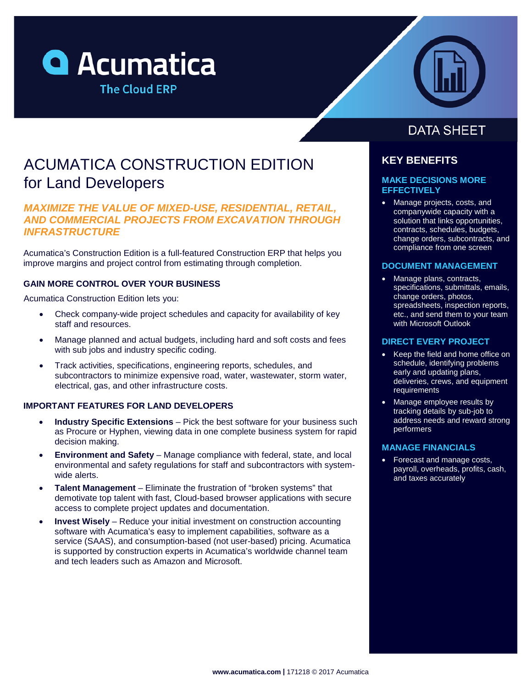



# ACUMATICA CONSTRUCTION EDITION for Land Developers

## *MAXIMIZE THE VALUE OF MIXED-USE, RESIDENTIAL, RETAIL, AND COMMERCIAL PROJECTS FROM EXCAVATION THROUGH INFRASTRUCTURE*

Acumatica's Construction Edition is a full-featured Construction ERP that helps you improve margins and project control from estimating through completion.

### **GAIN MORE CONTROL OVER YOUR BUSINESS**

Acumatica Construction Edition lets you:

- Check company-wide project schedules and capacity for availability of key staff and resources.
- Manage planned and actual budgets, including hard and soft costs and fees with sub jobs and industry specific coding.
- Track activities, specifications, engineering reports, schedules, and subcontractors to minimize expensive road, water, wastewater, storm water, electrical, gas, and other infrastructure costs.

### **IMPORTANT FEATURES FOR LAND DEVELOPERS**

- **Industry Specific Extensions**  Pick the best software for your business such as Procure or Hyphen, viewing data in one complete business system for rapid decision making.
- **Environment and Safety** Manage compliance with federal, state, and local environmental and safety regulations for staff and subcontractors with systemwide alerts.
- **Talent Management**  Eliminate the frustration of "broken systems" that demotivate top talent with fast, Cloud-based browser applications with secure access to complete project updates and documentation.
- **Invest Wisely** Reduce your initial investment on construction accounting software with Acumatica's easy to implement capabilities, software as a service (SAAS), and consumption-based (not user-based) pricing. Acumatica is supported by construction experts in Acumatica's worldwide channel team and tech leaders such as Amazon and Microsoft.

# **DATA SHEET**

## **KEY BENEFITS**

### **MAKE DECISIONS MORE EFFECTIVELY**

• Manage projects, costs, and companywide capacity with a solution that links opportunities, contracts, schedules, budgets, change orders, subcontracts, and compliance from one screen

### **DOCUMENT MANAGEMENT**

• Manage plans, contracts, specifications, submittals, emails, change orders, photos, spreadsheets, inspection reports, etc., and send them to your team with Microsoft Outlook

### **DIRECT EVERY PROJECT**

- Keep the field and home office on schedule, identifying problems early and updating plans, deliveries, crews, and equipment **requirements**
- Manage employee results by tracking details by sub-job to address needs and reward strong performers

### **MANAGE FINANCIALS**

• Forecast and manage costs, payroll, overheads, profits, cash, and taxes accurately